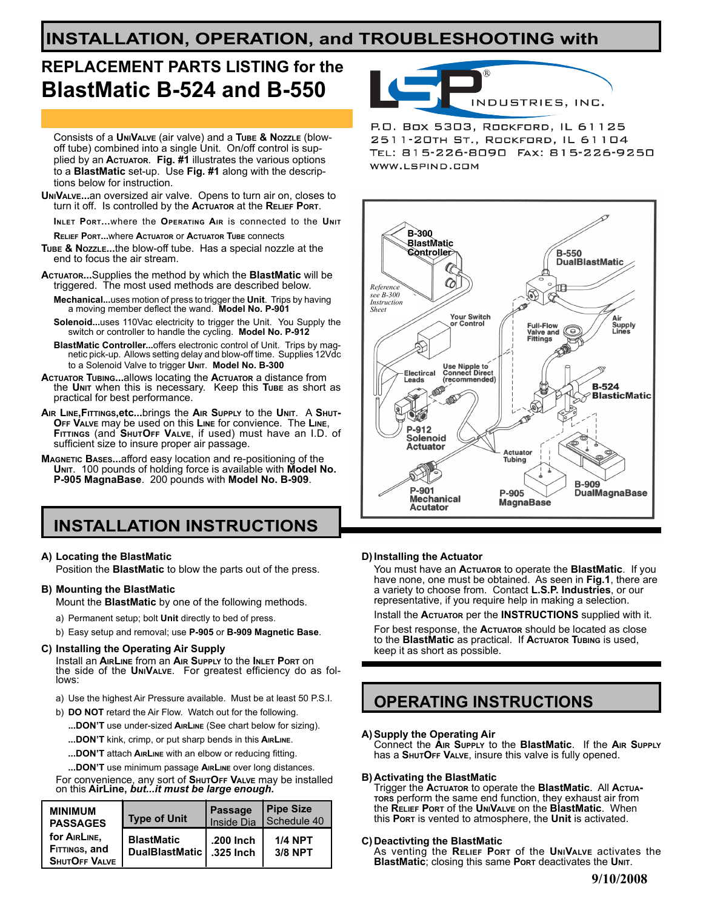## **INSTALLATION, OPERATION, and TROUBLESHOOTING with**

# **REPLACEMENT PARTS LISTING for the BlastMatic B-524 and B-550**

Consists of a **UniValve** (air valve) and a **Tube & Nozzle** (blowoff tube) combined into a single Unit. On/off control is supplied by an **Actuator**. **Fig. #1** illustrates the various options to a **BlastMatic** set-up. Use **Fig. #1** along with the descriptions below for instruction.

- **UniValve...**an oversized air valve. Opens to turn air on, closes to turn it off. Is controlled by the **Actuator** at the **Relief Port**.
- **Inlet Port...**where the **Operating Air** is connected to the **Unit**
- **Relief Port...**where **Actuator** or **Actuator Tube** connects

**Tube & Nozzle...**the blow-off tube. Has a special nozzle at the end to focus the air stream.

**Actuator...**Supplies the method by which the **BlastMatic** will be triggered. The most used methods are described below.

- **Mechanical...**uses motion of press to trigger the **Unit**. Trips by having a moving member deflect the wand. **Model No. P-901**
- **Solenoid...**uses 110Vac electricity to trigger the Unit. You Supply the switch or controller to handle the cycling. **Model No. P-912**

 **BlastMatic Controller...**offers electronic control of Unit. Trips by mag- netic pick-up. Allows setting delay and blow-off time. Supplies 12Vdc to a Solenoid Valve to trigger **Unit**. **Model No. B-300**

- **Actuator Tubing...**allows locating the **Actuator** a distance from the **Unit** when this is necessary. Keep this **Tube** as short as practical for best performance.
- **Air Line,Fittings,etc...**brings the **Air Supply** to the **Unit**. A **Shut-Off Valve** may be used on this **Line** for convience. The **Line**, **Fittings** (and **ShutOff Valve**, if used) must have an I.D. of sufficient size to insure proper air passage.
- **Magnetic Bases...**afford easy location and re-positioning of the **Unit**. 100 pounds of holding force is available with **Model No. P-905 MagnaBase**. 200 pounds with **Model No. B-909**.

## **INSTALLATION INSTRUCTIONS**

### **A) Locating the BlastMatic**

Position the **BlastMatic** to blow the parts out of the press.

### **B) Mounting the BlastMatic**

Mount the **BlastMatic** by one of the following methods.

- a) Permanent setup; bolt **Unit** directly to bed of press.
- b) Easy setup and removal; use **P-905** or **B-909 Magnetic Base**.

### **C) Installing the Operating Air Supply**

Install an **AirLine** from an **Air Supply** to the **Inlet Port** on the side of the **UniValve**. For greatest efficiency do as fol- lows:

- a) Use the highest Air Pressure available. Must be at least 50 P.S.I.
- b) **DO NOT** retard the Air Flow. Watch out for the following.
	- **...DON'T** use under-sized **AirLine** (See chart below for sizing).
	- **...DON'T** kink, crimp, or put sharp bends in this **AirLine**.
	- **...DON'T** attach **AirLine** with an elbow or reducing fitting.
	- **...DON'T** use minimum passage **AirLine** over long distances.

For convenience, any sort of **ShutOff Valve** may be installed on this **AirLine,** *but...it must be large enough.*

| <b>MINIMUM</b>                                        | <b>Type of Unit</b>                 | <b>Passage</b>         | Pipe Size                 |
|-------------------------------------------------------|-------------------------------------|------------------------|---------------------------|
| <b>PASSAGES</b>                                       |                                     | Inside Dia             | Schedule 40               |
| for AIRLINE,<br>FITTINGS, and<br><b>SHUTOFF VALVE</b> | <b>BlastMatic</b><br>DualBlastMatic | .200 Inch<br>.325 Inch | <b>1/4 NPT</b><br>3/8 NPT |



P.O. Box 5303, ROCKFORD, IL 61125 2511-20TH ST., ROCKFORD, IL 61104 WWW.LSPIND.COM



### **D) Installing the Actuator**

You must have an **Actuator** to operate the **BlastMatic**. If you have none, one must be obtained. As seen in Fig.1, there are a variety to choose from. Contact **L.S.P. Industries**, or our representative, if you require help in making a selection.

Install the **Actuator** per the **INSTRUCTIONS** supplied with it.

For best response, the **Actuator** should be located as close to the **BlastMatic** as practical. If **Actuator Tubing** is used, keep it as short as possible.

### **OPERATING INSTRUCTIONS**

### **A) Supply the Operating Air**

 Connect the **Air Supply** to the **BlastMatic**. If the **Air Supply** has a **ShutOff Valve**, insure this valve is fully opened.

### **B) Activating the BlastMatic**

 Trigger the **Actuator** to operate the **BlastMatic**. All **Actuators** perform the same end function, they exhaust air from the **Relief Port** of the **UniValve** on the **BlastMatic**. When this **Port** is vented to atmosphere, the **Unit** is activated.

### **C) Deactivting the BlastMatic**

 As venting the **Relief Port** of the **UniValve** activates the  **BlastMatic**; closing this same **Port** deactivates the **Unit**.